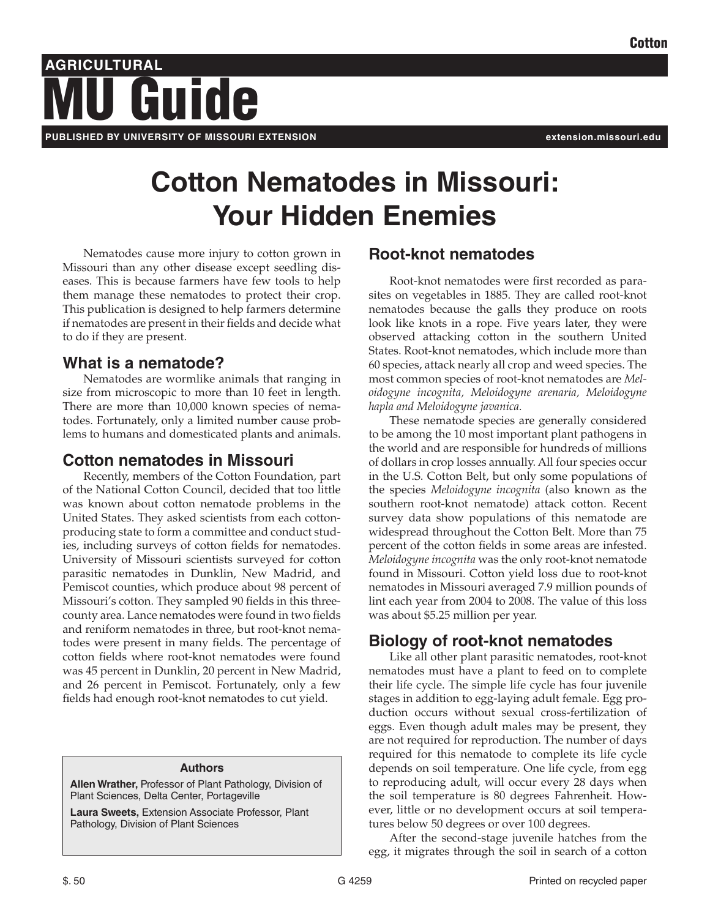## **AGRICULTURAL PUBLISHED BY UNIVERSITY OF MISSOURI EXTENSION extension.missouri.edu** Guide

# **Cotton Nematodes in Missouri: Your Hidden Enemies**

Nematodes cause more injury to cotton grown in Missouri than any other disease except seedling diseases. This is because farmers have few tools to help them manage these nematodes to protect their crop. This publication is designed to help farmers determine if nematodes are present in their fields and decide what to do if they are present.

## **What is a nematode?**

Nematodes are wormlike animals that ranging in size from microscopic to more than 10 feet in length. There are more than 10,000 known species of nematodes. Fortunately, only a limited number cause problems to humans and domesticated plants and animals.

## **Cotton nematodes in Missouri**

Recently, members of the Cotton Foundation, part of the National Cotton Council, decided that too little was known about cotton nematode problems in the United States. They asked scientists from each cottonproducing state to form a committee and conduct studies, including surveys of cotton fields for nematodes. University of Missouri scientists surveyed for cotton parasitic nematodes in Dunklin, New Madrid, and Pemiscot counties, which produce about 98 percent of Missouri's cotton. They sampled 90 fields in this threecounty area. Lance nematodes were found in two fields and reniform nematodes in three, but root-knot nematodes were present in many fields. The percentage of cotton fields where root-knot nematodes were found was 45 percent in Dunklin, 20 percent in New Madrid, and 26 percent in Pemiscot. Fortunately, only a few fields had enough root-knot nematodes to cut yield.

#### **Authors**

**Allen Wrather,** Professor of Plant Pathology, Division of Plant Sciences, Delta Center, Portageville

**Laura Sweets,** Extension Associate Professor, Plant Pathology, Division of Plant Sciences

## **Root-knot nematodes**

Root-knot nematodes were first recorded as parasites on vegetables in 1885. They are called root-knot nematodes because the galls they produce on roots look like knots in a rope. Five years later, they were observed attacking cotton in the southern United States. Root-knot nematodes, which include more than 60 species, attack nearly all crop and weed species. The most common species of root-knot nematodes are *Meloidogyne incognita, Meloidogyne arenaria, Meloidogyne hapla and Meloidogyne javanica.*

These nematode species are generally considered to be among the 10 most important plant pathogens in the world and are responsible for hundreds of millions of dollars in crop losses annually. All four species occur in the U.S. Cotton Belt, but only some populations of the species *Meloidogyne incognita* (also known as the southern root-knot nematode) attack cotton. Recent survey data show populations of this nematode are widespread throughout the Cotton Belt. More than 75 percent of the cotton fields in some areas are infested. *Meloidogyne incognita* was the only root-knot nematode found in Missouri. Cotton yield loss due to root-knot nematodes in Missouri averaged 7.9 million pounds of lint each year from 2004 to 2008. The value of this loss was about \$5.25 million per year.

## **Biology of root-knot nematodes**

Like all other plant parasitic nematodes, root-knot nematodes must have a plant to feed on to complete their life cycle. The simple life cycle has four juvenile stages in addition to egg-laying adult female. Egg production occurs without sexual cross-fertilization of eggs. Even though adult males may be present, they are not required for reproduction. The number of days required for this nematode to complete its life cycle depends on soil temperature. One life cycle, from egg to reproducing adult, will occur every 28 days when the soil temperature is 80 degrees Fahrenheit. However, little or no development occurs at soil temperatures below 50 degrees or over 100 degrees.

After the second-stage juvenile hatches from the egg, it migrates through the soil in search of a cotton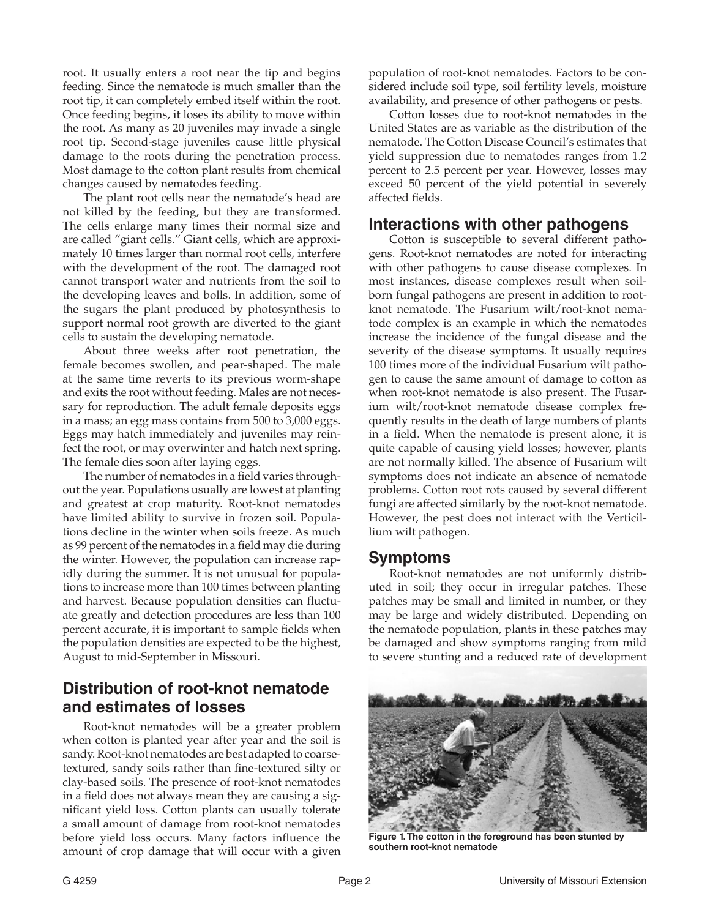root. It usually enters a root near the tip and begins feeding. Since the nematode is much smaller than the root tip, it can completely embed itself within the root. Once feeding begins, it loses its ability to move within the root. As many as 20 juveniles may invade a single root tip. Second-stage juveniles cause little physical damage to the roots during the penetration process. Most damage to the cotton plant results from chemical changes caused by nematodes feeding.

The plant root cells near the nematode's head are not killed by the feeding, but they are transformed. The cells enlarge many times their normal size and are called "giant cells." Giant cells, which are approximately 10 times larger than normal root cells, interfere with the development of the root. The damaged root cannot transport water and nutrients from the soil to the developing leaves and bolls. In addition, some of the sugars the plant produced by photosynthesis to support normal root growth are diverted to the giant cells to sustain the developing nematode.

About three weeks after root penetration, the female becomes swollen, and pear-shaped. The male at the same time reverts to its previous worm-shape and exits the root without feeding. Males are not necessary for reproduction. The adult female deposits eggs in a mass; an egg mass contains from 500 to 3,000 eggs. Eggs may hatch immediately and juveniles may reinfect the root, or may overwinter and hatch next spring. The female dies soon after laying eggs.

The number of nematodes in a field varies throughout the year. Populations usually are lowest at planting and greatest at crop maturity. Root-knot nematodes have limited ability to survive in frozen soil. Populations decline in the winter when soils freeze. As much as 99 percent of the nematodes in a field may die during the winter. However, the population can increase rapidly during the summer. It is not unusual for populations to increase more than 100 times between planting and harvest. Because population densities can fluctuate greatly and detection procedures are less than 100 percent accurate, it is important to sample fields when the population densities are expected to be the highest, August to mid-September in Missouri.

### **Distribution of root-knot nematode and estimates of losses**

Root-knot nematodes will be a greater problem when cotton is planted year after year and the soil is sandy. Root-knot nematodes are best adapted to coarsetextured, sandy soils rather than fine-textured silty or clay-based soils. The presence of root-knot nematodes in a field does not always mean they are causing a significant yield loss. Cotton plants can usually tolerate a small amount of damage from root-knot nematodes before yield loss occurs. Many factors influence the amount of crop damage that will occur with a given

population of root-knot nematodes. Factors to be considered include soil type, soil fertility levels, moisture availability, and presence of other pathogens or pests.

Cotton losses due to root-knot nematodes in the United States are as variable as the distribution of the nematode. The Cotton Disease Council's estimates that yield suppression due to nematodes ranges from 1.2 percent to 2.5 percent per year. However, losses may exceed 50 percent of the yield potential in severely affected fields.

#### **Interactions with other pathogens**

Cotton is susceptible to several different pathogens. Root-knot nematodes are noted for interacting with other pathogens to cause disease complexes. In most instances, disease complexes result when soilborn fungal pathogens are present in addition to rootknot nematode. The Fusarium wilt/root-knot nematode complex is an example in which the nematodes increase the incidence of the fungal disease and the severity of the disease symptoms. It usually requires 100 times more of the individual Fusarium wilt pathogen to cause the same amount of damage to cotton as when root-knot nematode is also present. The Fusarium wilt/root-knot nematode disease complex frequently results in the death of large numbers of plants in a field. When the nematode is present alone, it is quite capable of causing yield losses; however, plants are not normally killed. The absence of Fusarium wilt symptoms does not indicate an absence of nematode problems. Cotton root rots caused by several different fungi are affected similarly by the root-knot nematode. However, the pest does not interact with the Verticillium wilt pathogen.

#### **Symptoms**

Root-knot nematodes are not uniformly distributed in soil; they occur in irregular patches. These patches may be small and limited in number, or they may be large and widely distributed. Depending on the nematode population, plants in these patches may be damaged and show symptoms ranging from mild to severe stunting and a reduced rate of development



**Figure 1. The cotton in the foreground has been stunted by southern root-knot nematode**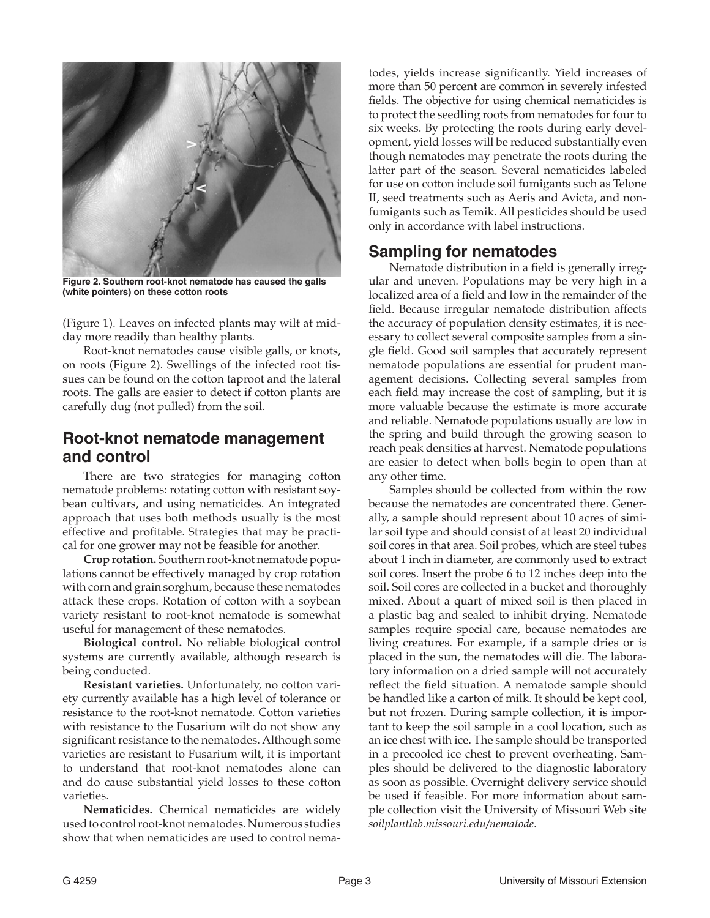

**Figure 2. Southern root-knot nematode has caused the galls (white pointers) on these cotton roots**

(Figure 1). Leaves on infected plants may wilt at midday more readily than healthy plants.

Root-knot nematodes cause visible galls, or knots, on roots (Figure 2). Swellings of the infected root tissues can be found on the cotton taproot and the lateral roots. The galls are easier to detect if cotton plants are carefully dug (not pulled) from the soil.

#### **Root-knot nematode management and control**

There are two strategies for managing cotton nematode problems: rotating cotton with resistant soybean cultivars, and using nematicides. An integrated approach that uses both methods usually is the most effective and profitable. Strategies that may be practical for one grower may not be feasible for another.

**Crop rotation.** Southern root-knot nematode populations cannot be effectively managed by crop rotation with corn and grain sorghum, because these nematodes attack these crops. Rotation of cotton with a soybean variety resistant to root-knot nematode is somewhat useful for management of these nematodes.

**Biological control.** No reliable biological control systems are currently available, although research is being conducted.

**Resistant varieties.** Unfortunately, no cotton variety currently available has a high level of tolerance or resistance to the root-knot nematode. Cotton varieties with resistance to the Fusarium wilt do not show any significant resistance to the nematodes. Although some varieties are resistant to Fusarium wilt, it is important to understand that root-knot nematodes alone can and do cause substantial yield losses to these cotton varieties.

**Nematicides.** Chemical nematicides are widely used to control root-knot nematodes. Numerous studies show that when nematicides are used to control nematodes, yields increase significantly. Yield increases of more than 50 percent are common in severely infested fields. The objective for using chemical nematicides is to protect the seedling roots from nematodes for four to six weeks. By protecting the roots during early development, yield losses will be reduced substantially even though nematodes may penetrate the roots during the latter part of the season. Several nematicides labeled for use on cotton include soil fumigants such as Telone II, seed treatments such as Aeris and Avicta, and nonfumigants such as Temik. All pesticides should be used only in accordance with label instructions.

#### **Sampling for nematodes**

Nematode distribution in a field is generally irregular and uneven. Populations may be very high in a localized area of a field and low in the remainder of the field. Because irregular nematode distribution affects the accuracy of population density estimates, it is necessary to collect several composite samples from a single field. Good soil samples that accurately represent nematode populations are essential for prudent management decisions. Collecting several samples from each field may increase the cost of sampling, but it is more valuable because the estimate is more accurate and reliable. Nematode populations usually are low in the spring and build through the growing season to reach peak densities at harvest. Nematode populations are easier to detect when bolls begin to open than at any other time.

Samples should be collected from within the row because the nematodes are concentrated there. Generally, a sample should represent about 10 acres of similar soil type and should consist of at least 20 individual soil cores in that area. Soil probes, which are steel tubes about 1 inch in diameter, are commonly used to extract soil cores. Insert the probe 6 to 12 inches deep into the soil. Soil cores are collected in a bucket and thoroughly mixed. About a quart of mixed soil is then placed in a plastic bag and sealed to inhibit drying. Nematode samples require special care, because nematodes are living creatures. For example, if a sample dries or is placed in the sun, the nematodes will die. The laboratory information on a dried sample will not accurately reflect the field situation. A nematode sample should be handled like a carton of milk. It should be kept cool, but not frozen. During sample collection, it is important to keep the soil sample in a cool location, such as an ice chest with ice. The sample should be transported in a precooled ice chest to prevent overheating. Samples should be delivered to the diagnostic laboratory as soon as possible. Overnight delivery service should be used if feasible. For more information about sample collection visit the University of Missouri Web site *soilplantlab.missouri.edu/nematode.*